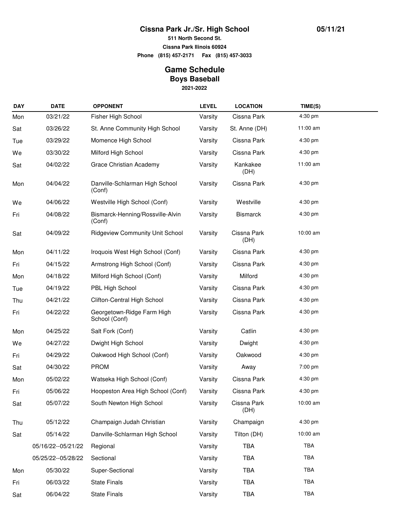## **Cissna Park Jr./Sr. High School**

**511 North Second St.**

**Cissna Park Ilinois 60924**

**Phone (815) 457-2171 Fax (815) 457-3033**

## **Game Schedule Boys Baseball**

**2021-2022**

| <b>DAY</b> | <b>DATE</b>          | <b>OPPONENT</b>                             | <b>LEVEL</b> | <b>LOCATION</b>     | TIME(S)    |  |
|------------|----------------------|---------------------------------------------|--------------|---------------------|------------|--|
| Mon        | 03/21/22             | Fisher High School                          | Varsity      | Cissna Park         | 4:30 pm    |  |
| Sat        | 03/26/22             | St. Anne Community High School              | Varsity      | St. Anne (DH)       | 11:00 am   |  |
| Tue        | 03/29/22             | Momence High School                         | Varsity      | Cissna Park         | 4:30 pm    |  |
| We         | 03/30/22             | Milford High School                         | Varsity      | Cissna Park         | 4:30 pm    |  |
| Sat        | 04/02/22             | Grace Christian Academy                     | Varsity      | Kankakee<br>(DH)    | 11:00 am   |  |
| Mon        | 04/04/22             | Danville-Schlarman High School<br>(Conf)    | Varsity      | Cissna Park         | 4:30 pm    |  |
| We         | 04/06/22             | Westville High School (Conf)                | Varsity      | Westville           | $4:30$ pm  |  |
| Fri        | 04/08/22             | Bismarck-Henning/Rossville-Alvin<br>(Conf)  | Varsity      | <b>Bismarck</b>     | 4:30 pm    |  |
| Sat        | 04/09/22             | <b>Ridgeview Community Unit School</b>      | Varsity      | Cissna Park<br>(DH) | 10:00 am   |  |
| Mon        | 04/11/22             | Iroquois West High School (Conf)            | Varsity      | Cissna Park         | 4:30 pm    |  |
| Fri        | 04/15/22             | Armstrong High School (Conf)                | Varsity      | Cissna Park         | 4:30 pm    |  |
| Mon        | 04/18/22             | Milford High School (Conf)                  | Varsity      | Milford             | 4:30 pm    |  |
| Tue        | 04/19/22             | PBL High School                             | Varsity      | Cissna Park         | 4:30 pm    |  |
| Thu        | 04/21/22             | Clifton-Central High School                 | Varsity      | Cissna Park         | 4:30 pm    |  |
| Fri        | 04/22/22             | Georgetown-Ridge Farm High<br>School (Conf) | Varsity      | Cissna Park         | 4:30 pm    |  |
| Mon        | 04/25/22             | Salt Fork (Conf)                            | Varsity      | Catlin              | 4:30 pm    |  |
| We         | 04/27/22             | Dwight High School                          | Varsity      | Dwight              | 4:30 pm    |  |
| Fri        | 04/29/22             | Oakwood High School (Conf)                  | Varsity      | Oakwood             | 4:30 pm    |  |
| Sat        | 04/30/22             | <b>PROM</b>                                 | Varsity      | Away                | 7:00 pm    |  |
| Mon        | 05/02/22             | Watseka High School (Conf)                  | Varsity      | Cissna Park         | 4:30 pm    |  |
| Fri        | 05/06/22             | Hoopeston Area High School (Conf)           | Varsity      | Cissna Park         | 4:30 pm    |  |
| Sat        | 05/07/22             | South Newton High School                    | Varsity      | Cissna Park<br>(DH) | 10:00 am   |  |
| Thu        | 05/12/22             | Champaign Judah Christian                   | Varsity      | Champaign           | 4:30 pm    |  |
| Sat        | 05/14/22             | Danville-Schlarman High School              | Varsity      | Tilton (DH)         | 10:00 am   |  |
|            | 05/16/22 -- 05/21/22 | Regional                                    | Varsity      | <b>TBA</b>          | TBA        |  |
|            | 05/25/22--05/28/22   | Sectional                                   | Varsity      | <b>TBA</b>          | <b>TBA</b> |  |
| Mon        | 05/30/22             | Super-Sectional                             | Varsity      | TBA                 | <b>TBA</b> |  |
| Fri        | 06/03/22             | <b>State Finals</b>                         | Varsity      | <b>TBA</b>          | TBA        |  |
| Sat        | 06/04/22             | <b>State Finals</b>                         | Varsity      | TBA                 | <b>TBA</b> |  |